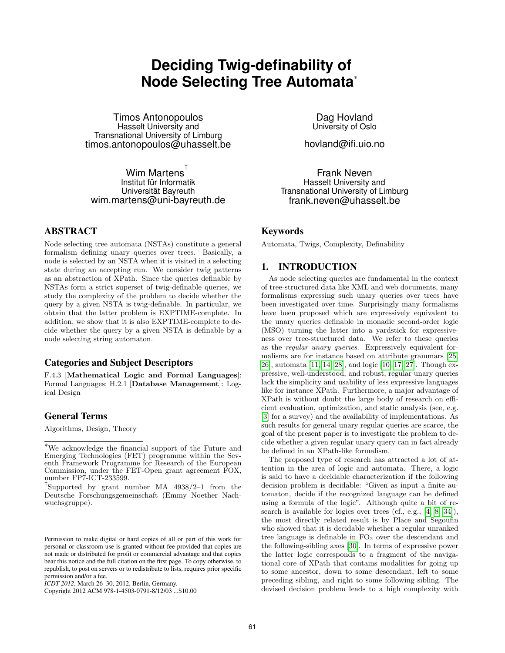# **Deciding Twig-definability of Node Selecting Tree Automata**<sup>∗</sup>

Timos Antonopoulos Hasselt University and Transnational University of Limburg timos.antonopoulos@uhasselt.be

Wim Martens $^\dagger$ Institut für Informatik Universität Bayreuth wim.martens@uni-bayreuth.de

# ABSTRACT

Node selecting tree automata (NSTAs) constitute a general formalism defining unary queries over trees. Basically, a node is selected by an NSTA when it is visited in a selecting state during an accepting run. We consider twig patterns as an abstraction of XPath. Since the queries definable by NSTAs form a strict superset of twig-definable queries, we study the complexity of the problem to decide whether the query by a given NSTA is twig-definable. In particular, we obtain that the latter problem is EXPTIME-complete. In addition, we show that it is also EXPTIME-complete to decide whether the query by a given NSTA is definable by a node selecting string automaton.

# Categories and Subject Descriptors

F.4.3 [Mathematical Logic and Formal Languages]: Formal Languages; H.2.1 [Database Management]: Logical Design

## General Terms

Algorithms, Design, Theory

Copyright 2012 ACM 978-1-4503-0791-8/12/03 ...\$10.00

Dag Hovland University of Oslo

hovland@ifi.uio.no

Frank Neven Hasselt University and Transnational University of Limburg frank.neven@uhasselt.be

## Keywords

Automata, Twigs, Complexity, Definability

## 1. INTRODUCTION

As node selecting queries are fundamental in the context of tree-structured data like XML and web documents, many formalisms expressing such unary queries over trees have been investigated over time. Surprisingly many formalisms have been proposed which are expressively equivalent to the unary queries definable in monadic second-order logic (MSO) turning the latter into a yardstick for expressiveness over tree-structured data. We refer to these queries as the regular unary queries. Expressively equivalent formalisms are for instance based on attribute grammars [25, 26], automata [11, 14, 28], and logic [10, 17, 27]. Though expressive, well-understood, and robust, regular unary queries lack the simplicity and usability of less expressive languages like for instance XPath. Furthermore, a major advantage of XPath is without doubt the large body of research on efficient evaluation, optimization, and static analysis (see, e.g. [3] for a survey) and the availability of implementations. As such results for general unary regular queries are scarce, the goal of the present paper is to investigate the problem to decide whether a given regular unary query can in fact already be defined in an XPath-like formalism.

The proposed type of research has attracted a lot of attention in the area of logic and automata. There, a logic is said to have a decidable characterization if the following decision problem is decidable: "Given as input a finite automaton, decide if the recognized language can be defined using a formula of the logic". Although quite a bit of research is available for logics over trees (cf., e.g., [4, 8, 34]), the most directly related result is by Place and Segoufin who showed that it is decidable whether a regular unranked tree language is definable in  $FO<sub>2</sub>$  over the descendant and the following-sibling axes [30]. In terms of expressive power the latter logic corresponds to a fragment of the navigational core of XPath that contains modalities for going up to some ancestor, down to some descendant, left to some preceding sibling, and right to some following sibling. The devised decision problem leads to a high complexity with

<sup>∗</sup>We acknowledge the financial support of the Future and Emerging Technologies (FET) programme within the Seventh Framework Programme for Research of the European Commission, under the FET-Open grant agreement FOX, number FP7-ICT-233599.

<sup>†</sup> Supported by grant number MA 4938/2–1 from the Deutsche Forschungsgemeinschaft (Emmy Noether Nachwuchsgruppe).

Permission to make digital or hard copies of all or part of this work for personal or classroom use is granted without fee provided that copies are not made or distributed for profit or commercial advantage and that copies bear this notice and the full citation on the first page. To copy otherwise, to republish, to post on servers or to redistribute to lists, requires prior specific permission and/or a fee.

*ICDT 2012*, March 26–30, 2012, Berlin, Germany.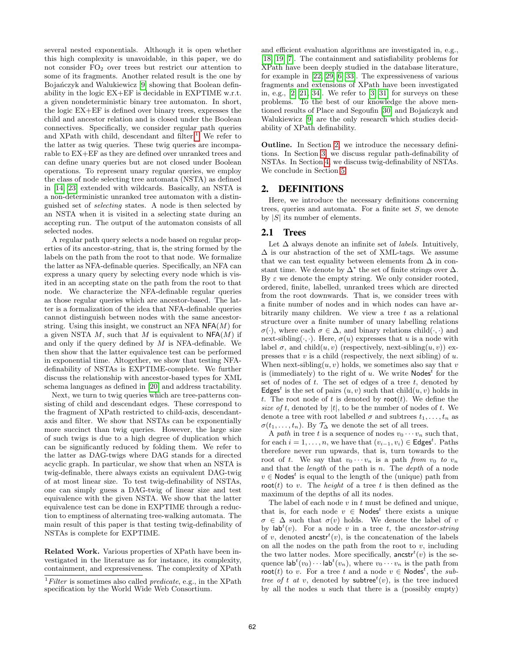several nested exponentials. Although it is open whether this high complexity is unavoidable, in this paper, we do not consider FO<sup>2</sup> over trees but restrict our attention to some of its fragments. Another related result is the one by Bojańczyk and Walukiewicz [9] showing that Boolean definability in the logic EX+EF is decidable in EXPTIME w.r.t. a given nondeterministic binary tree automaton. In short, the logic EX+EF is defined over binary trees, expresses the child and ancestor relation and is closed under the Boolean connectives. Specifically, we consider regular path queries and XPath with child, descendant and filter.<sup>1</sup> We refer to the latter as twig queries. These twig queries are incomparable to EX+EF as they are defined over unranked trees and can define unary queries but are not closed under Boolean operations. To represent unary regular queries, we employ the class of node selecting tree automata (NSTA) as defined in [14, 23] extended with wildcards. Basically, an NSTA is a non-deterministic unranked tree automaton with a distinguished set of selecting states. A node is then selected by an NSTA when it is visited in a selecting state during an accepting run. The output of the automaton consists of all selected nodes.

A regular path query selects a node based on regular properties of its ancestor-string, that is, the string formed by the labels on the path from the root to that node. We formalize the latter as NFA-definable queries. Specifically, an NFA can express a unary query by selecting every node which is visited in an accepting state on the path from the root to that node. We characterize the NFA-definable regular queries as those regular queries which are ancestor-based. The latter is a formalization of the idea that NFA-definable queries cannot distinguish between nodes with the same ancestorstring. Using this insight, we construct an NFA  $NFA(M)$  for a given NSTA  $M$ , such that  $M$  is equivalent to  $NFA(M)$  if and only if the query defined by  $M$  is NFA-definable. We then show that the latter equivalence test can be performed in exponential time. Altogether, we show that testing NFAdefinability of NSTAs is EXPTIME-complete. We further discuss the relationship with ancestor-based types for XML schema languages as defined in [20] and address tractability.

Next, we turn to twig queries which are tree-patterns consisting of child and descendant edges. These correspond to the fragment of XPath restricted to child-axis, descendantaxis and filter. We show that NSTAs can be exponentially more succinct than twig queries. However, the large size of such twigs is due to a high degree of duplication which can be significantly reduced by folding them. We refer to the latter as DAG-twigs where DAG stands for a directed acyclic graph. In particular, we show that when an NSTA is twig-definable, there always exists an equivalent DAG-twig of at most linear size. To test twig-definability of NSTAs, one can simply guess a DAG-twig of linear size and test equivalence with the given NSTA. We show that the latter equivalence test can be done in EXPTIME through a reduction to emptiness of alternating tree-walking automata. The main result of this paper is that testing twig-definability of NSTAs is complete for EXPTIME.

Related Work. Various properties of XPath have been investigated in the literature as for instance, its complexity, containment, and expressiveness. The complexity of XPath and efficient evaluation algorithms are investigated in, e.g., [18, 19, 7]. The containment and satisfiability problems for XPath have been deeply studied in the database literature, for example in [22, 29, 6, 33]. The expressiveness of various fragments and extensions of XPath have been investigated in, e.g.,  $[2, 21, 34]$ . We refer to  $[3, 31]$  for surveys on these problems. To the best of our knowledge the above mentioned results of Place and Segoufin [30] and Bojanczyk and Walukiewicz [9] are the only research which studies decidability of XPath definability.

Outline. In Section 2, we introduce the necessary definitions. In Section 3, we discuss regular path-definability of NSTAs. In Section 4, we discuss twig-definability of NSTAs. We conclude in Section 5.

## 2. DEFINITIONS

Here, we introduce the necessary definitions concerning trees, queries and automata. For a finite set S, we denote by  $|S|$  its number of elements.

## 2.1 Trees

Let  $\Delta$  always denote an infinite set of *labels*. Intuitively,  $\Delta$  is our abstraction of the set of XML-tags. We assume that we can test equality between elements from  $\Delta$  in constant time. We denote by  $\Delta^*$  the set of finite strings over  $\Delta$ . By  $\varepsilon$  we denote the empty string. We only consider rooted, ordered, finite, labelled, unranked trees which are directed from the root downwards. That is, we consider trees with a finite number of nodes and in which nodes can have arbitrarily many children. We view a tree  $t$  as a relational structure over a finite number of unary labelling relations  $\sigma(\cdot)$ , where each  $\sigma \in \Delta$ , and binary relations child $(\cdot, \cdot)$  and next-sibling( $\cdot$ , $\cdot$ ). Here,  $\sigma(u)$  expresses that u is a node with label  $\sigma$ , and child $(u, v)$  (respectively, next-sibling $(u, v)$ ) expresses that  $v$  is a child (respectively, the next sibling) of  $u$ . When next-sibling $(u, v)$  holds, we sometimes also say that v is (immediately) to the right of u. We write  $\mathsf{Nodes}^t$  for the set of nodes of  $t$ . The set of edges of a tree  $t$ , denoted by Edges<sup>t</sup> is the set of pairs  $(u, v)$  such that child $(u, v)$  holds in t. The root node of t is denoted by root $(t)$ . We define the size of t, denoted by  $|t|$ , to be the number of nodes of t. We denote a tree with root labelled  $\sigma$  and subtrees  $t_1, \ldots, t_n$  as  $\sigma(t_1,\ldots,t_n)$ . By  $\mathcal{T}_{\Delta}$  we denote the set of all trees.

A path in tree t is a sequence of nodes  $v_0 \cdots v_n$  such that, for each  $i = 1, \ldots, n$ , we have that  $(v_{i-1}, v_i) \in \mathsf{Edges}^t$ . Paths therefore never run upwards, that is, turn towards to the root of t. We say that  $v_0 \cdots v_n$  is a path from  $v_0$  to  $v_n$ and that the *length* of the path is  $n$ . The *depth* of a node  $v \in \textsf{Nodes}^t$  is equal to the length of the (unique) path from root(t) to v. The *height* of a tree t is then defined as the maximum of the depths of all its nodes.

The label of each node  $v$  in  $t$  must be defined and unique, that is, for each node  $v \in \textsf{Nodes}^t$  there exists a unique  $\sigma \in \Delta$  such that  $\sigma(v)$  holds. We denote the label of v by  $\mathsf{lab}^t(v)$ . For a node v in a tree t, the ancestor-string of v, denoted ancstr<sup>t</sup> $(v)$ , is the concatenation of the labels on all the nodes on the path from the root to  $v$ , including the two latter nodes. More specifically,  $\operatorname{ancstr}^t(v)$  is the sequence  $\mathsf{lab}^t(v_0)\cdots \mathsf{lab}^t(v_n)$ , where  $v_0\cdots v_n$  is the path from root(t) to v. For a tree t and a node  $v \in \text{Nodes}^t$ , the subtree of t at v, denoted by subtree<sup>t</sup>(v), is the tree induced by all the nodes  $u$  such that there is a (possibly empty)

 ${}^{1}Fitter$  is sometimes also called *predicate*, e.g., in the XPath specification by the World Wide Web Consortium.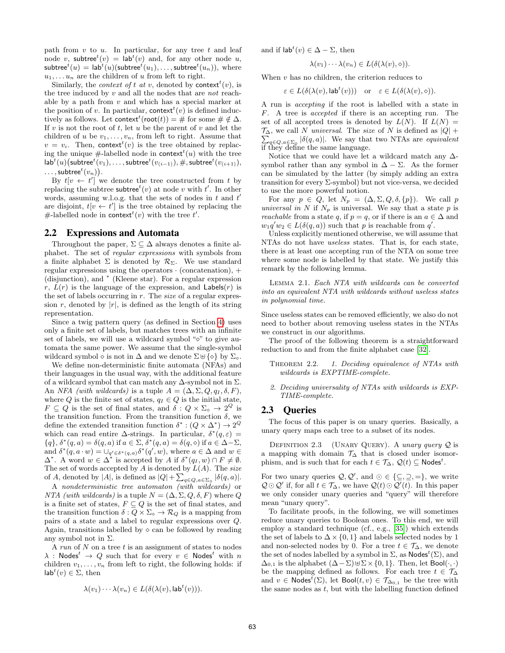path from  $v$  to  $u$ . In particular, for any tree  $t$  and leaf node v, subtree<sup>t</sup> $(v) =$  lab<sup>t</sup> $(v)$  and, for any other node u,  $\mathsf{subtree}^t(u) = \mathsf{lab}^t(u)(\mathsf{subtree}^t(u_1),\dots,\mathsf{subtree}^t(u_n)), \text{ where }$  $u_1, \ldots u_n$  are the children of u from left to right.

Similarly, the *context of t at v*, denoted by **context**<sup>*t*</sup>(*v*), is the tree induced by v and all the nodes that are not reachable by a path from  $v$  and which has a special marker at the position of v. In particular, context<sup> $t(v)$ </sup> is defined inductively as follows. Let context<sup>t</sup> (root(t)) = # for some #  $\notin \Delta$ . If v is not the root of t, let u be the parent of v and let the children of u be  $v_1, \ldots, v_n$ , from left to right. Assume that  $v = v_i$ . Then, context<sup>t</sup> $(v)$  is the tree obtained by replacing the unique  $#$ -labelled node in context<sup> $t(u)$ </sup> with the tree  $\mathsf{lab}^{t}(u)(\mathsf{subtree}^{t}(v_1),\dots,\mathsf{subtree}^{t}(v_{(i-1)}),\#,\mathsf{subtree}^{t}(v_{(i+1)}),$  $\ldots$ , subtree $^t(v_n)$ ).

By  $t[v \leftarrow t']$  we denote the tree constructed from t by replacing the subtree subtree<sup>t</sup> $(v)$  at node v with t'. In other words, assuming w.l.o.g. that the sets of nodes in  $t$  and  $t'$ are disjoint,  $t[v \leftarrow t']$  is the tree obtained by replacing the #-labelled node in context<sup>*t*</sup>(*v*) with the tree *t'*.

# 2.2 Expressions and Automata

Throughout the paper,  $\Sigma \subseteq \Delta$  always denotes a finite alphabet. The set of regular expressions with symbols from a finite alphabet  $\Sigma$  is denoted by  $\mathcal{R}_{\Sigma}$ . We use standard regular expressions using the operators  $\cdot$  (concatenation),  $+$ (disjunction), and <sup>∗</sup> (Kleene star). For a regular expression r,  $L(r)$  is the language of the expression, and Labels $(r)$  is the set of labels occurring in  $r$ . The *size* of a regular expression r, denoted by  $|r|$ , is defined as the length of its string representation.

Since a twig pattern query (as defined in Section 4) uses only a finite set of labels, but matches trees with an infinite set of labels, we will use a wildcard symbol " $\diamond$ " to give automata the same power. We assume that the single-symbol wildcard symbol  $\diamond$  is not in  $\Delta$  and we denote  $\Sigma \uplus {\diamond}$  by  $\Sigma_{\diamond}$ .

We define non-deterministic finite automata (NFAs) and their languages in the usual way, with the additional feature of a wildcard symbol that can match any  $\Delta$ -symbol not in  $\Sigma$ . An NFA (with wildcards) is a tuple  $A = (\Delta, \Sigma, Q, q_I, \delta, F)$ , where Q is the finite set of states,  $q_I \in Q$  is the initial state,  $F \subseteq Q$  is the set of final states, and  $\delta: Q \times \Sigma_{\delta} \to 2^Q$  is the transition function. From the transition function  $\delta$ , we define the extended transition function  $\delta^* : (Q \times \Delta^*) \to 2^Q$ which can read entire  $\Delta$ -strings. In particular,  $\delta^*(q,\varepsilon)$  =  $\{q\}, \delta^*(q, a) = \delta(q, a)$  if  $a \in \Sigma, \delta^*(q, a) = \delta(q, \diamond)$  if  $a \in \Delta - \Sigma$ , and  $\delta^*(q, a \cdot w) = \bigcup_{q' \in \delta^*(q, a)} \delta^*(q', w)$ , where  $a \in \Delta$  and  $w \in$  $\Delta^*$ . A word  $w \in \Delta^*$  is accepted by A if  $\delta^*(q_I, w) \cap F \neq \emptyset$ . The set of words accepted by  $A$  is denoted by  $L(A)$ . The size of A, denoted by |A|, is defined as  $|Q| + \sum_{q \in Q, a \in \Sigma_{\diamond}} |\delta(q, a)|$ .

A nondeterministic tree automaton (with wildcards) or NTA (with wildcards) is a tuple  $N = (\Delta, \Sigma, Q, \delta, F)$  where Q is a finite set of states,  $F \subseteq Q$  is the set of final states, and the transition function  $\delta: Q \times \Sigma_{\delta} \to \mathcal{R}_Q$  is a mapping from pairs of a state and a label to regular expressions over Q. Again, transitions labelled by  $\diamond$  can be followed by reading any symbol not in  $\Sigma$ .

A run of  $N$  on a tree  $t$  is an assignment of states to nodes  $\lambda$  : Nodes<sup>t</sup>  $\rightarrow$  Q such that for every  $v \in$  Nodes<sup>t</sup> with n children  $v_1, \ldots, v_n$  from left to right, the following holds: if  $lab<sup>t</sup>(v) \in \Sigma$ , then

$$
\lambda(v_1)\cdots\lambda(v_n)\in L(\delta(\lambda(v),\mathsf{lab}^t(v))).
$$

and if  $\mathsf{lab}^t(v) \in \Delta - \Sigma$ , then

$$
\lambda(v_1)\cdots\lambda(v_n)\in L(\delta(\lambda(v),\diamond)).
$$

When  $v$  has no children, the criterion reduces to

$$
\varepsilon \in L(\delta(\lambda(v), \mathsf{lab}^t(v))) \quad \text{or} \quad \varepsilon \in L(\delta(\lambda(v), \diamond)).
$$

A run is accepting if the root is labelled with a state in F. A tree is accepted if there is an accepting run. The set of all accepted trees is denoted by  $L(N)$ . If  $L(N) =$  $\mathcal{T}_{\Delta}$ , we call N universal. The size of N is defined as  $|Q|$  +  $\mathcal{T}_{\Delta}$ , we call N universal. The size of N is defined as  $|Q| + \sum_{q \in Q, a \in \Sigma_{\phi}} |\delta(q, a)|$ . We say that two NTAs are *equivalent* if they define the same language.

Notice that we could have let a wildcard match any  $\Delta$ symbol rather than any symbol in  $\Delta - \Sigma$ . As the former can be simulated by the latter (by simply adding an extra transition for every  $\Sigma$ -symbol) but not vice-versa, we decided to use the more powerful notion.

For any  $p \in Q$ , let  $N_p = (\Delta, \Sigma, Q, \delta, \{p\})$ . We call p universal in N if  $N_p$  is universal. We say that a state p is reachable from a state q, if  $p = q$ , or if there is an  $a \in \Delta$  and  $w_1 q' w_2 \in L(\delta(q, a))$  such that p is reachable from q'.

Unless explicitly mentioned otherwise, we will assume that NTAs do not have useless states. That is, for each state, there is at least one accepting run of the NTA on some tree where some node is labelled by that state. We justify this remark by the following lemma.

Lemma 2.1. Each NTA with wildcards can be converted into an equivalent NTA with wildcards without useless states in polynomial time.

Since useless states can be removed efficiently, we also do not need to bother about removing useless states in the NTAs we construct in our algorithms.

The proof of the following theorem is a straightforward reduction to and from the finite alphabet case [32].

THEOREM 2.2. 1. Deciding equivalence of NTAs with wildcards is EXPTIME-complete.

2. Deciding universality of NTAs with wildcards is EXP-TIME-complete.

#### 2.3 Queries

The focus of this paper is on unary queries. Basically, a unary query maps each tree to a subset of its nodes.

DEFINITION 2.3 (UNARY QUERY). A unary query  $Q$  is a mapping with domain  $\mathcal{T}_{\Delta}$  that is closed under isomorphism, and is such that for each  $t \in \mathcal{T}_{\Delta}$ ,  $\mathcal{Q}(t) \subseteq \mathsf{Nodes}^t$ .

For two unary queries  $\mathcal{Q}, \mathcal{Q}'$ , and  $\odot \in {\subseteq, \supseteq, =}$ , we write  $Q \odot Q'$  if, for all  $t \in \mathcal{T}_{\Delta}$ , we have  $Q(t) \odot Q'(t)$ . In this paper we only consider unary queries and "query" will therefore mean "unary query".

To facilitate proofs, in the following, we will sometimes reduce unary queries to Boolean ones. To this end, we will employ a standard technique (cf., e.g., [35]) which extends the set of labels to  $\Delta \times \{0,1\}$  and labels selected nodes by 1 and non-selected nodes by 0. For a tree  $t \in \mathcal{T}_{\Delta}$ , we denote the set of nodes labelled by a symbol in  $\Sigma$ , as  $\mathsf{Nodes}^t(\Sigma)$ , and  $\Delta_{0,1}$  is the alphabet  $(\Delta - \Sigma) \oplus \Sigma \times \{0, 1\}$ . Then, let Bool(·,·) be the mapping defined as follows. For each tree  $t \in \mathcal{T}_{\Delta}$ and  $v \in \text{Nodes}^t(\Sigma)$ , let Bool $(t, v) \in \mathcal{T}_{\Delta_{0,1}}$  be the tree with the same nodes as  $t$ , but with the labelling function defined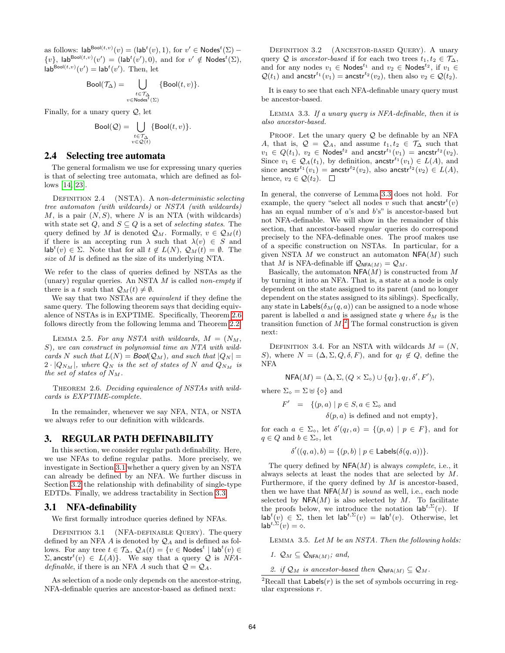as follows:  $\mathsf{lab}^{\mathsf{Bool}(t,v)}(v) = (\mathsf{lab}^t(v), 1), \text{ for } v' \in \mathsf{Nodes}^t(\Sigma)$  - $\{v\}$ , lab<sup>Bool(t,v)</sup>(v') = (lab<sup>t</sup>(v'), 0), and for  $v' \notin \textsf{Nodes}^t(\Sigma)$ ,  $\mathsf{lab}^{\mathsf{Bool}(t,v)}(v') = \mathsf{lab}^t(v').$  Then, let

$$
\mathrm{Bool}(\mathcal{T}_\Delta) = \bigcup_{\substack{t \in \mathcal{T}_\Delta \\ v \in \mathrm{Nodes}^t(\Sigma)}} \{\mathrm{Bool}(t,v)\}.
$$

Finally, for a unary query  $Q$ , let

$$
\text{Bool}(\mathcal{Q}) = \bigcup_{\substack{t \in \mathcal{T}_{\Delta} \\ v \in \mathcal{Q}(t)}} \{\text{Bool}(t,v)\}.
$$

#### 2.4 Selecting tree automata

The general formalism we use for expressing unary queries is that of selecting tree automata, which are defined as follows [14, 23].

DEFINITION 2.4 (NSTA). A non-deterministic selecting tree automaton (with wildcards) or NSTA (with wildcards) M, is a pair  $(N, S)$ , where N is an NTA (with wildcards) with state set Q, and  $S \subseteq Q$  is a set of selecting states. The query defined by M is denoted  $\mathcal{Q}_M$ . Formally,  $v \in \mathcal{Q}_M(t)$ if there is an accepting run  $\lambda$  such that  $\lambda(v) \in S$  and  $\mathsf{lab}^{t}(v) \in \Sigma$ . Note that for all  $t \notin L(N)$ ,  $\mathcal{Q}_{M}(t) = \emptyset$ . The size of M is defined as the size of its underlying NTA.

We refer to the class of queries defined by NSTAs as the (unary) regular queries. An NSTA  $M$  is called non-empty if there is a t such that  $Q_M(t) \neq \emptyset$ .

We say that two NSTAs are equivalent if they define the same query. The following theorem says that deciding equivalence of NSTAs is in EXPTIME. Specifically, Theorem 2.6 follows directly from the following lemma and Theorem 2.2.

LEMMA 2.5. For any NSTA with wildcards,  $M = (N_M,$ S), we can construct in polynomial time an NTA with wildcards N such that  $L(N) = \text{Bool}(\mathcal{Q}_M)$ , and such that  $|Q_N| =$  $2 \cdot |Q_{N_M}|$ , where  $Q_N$  is the set of states of N and  $Q_{N_M}$  is the set of states of  $N_M$ .

THEOREM 2.6. Deciding equivalence of NSTAs with wildcards is EXPTIME-complete.

In the remainder, whenever we say NFA, NTA, or NSTA we always refer to our definition with wildcards.

#### 3. REGULAR PATH DEFINABILITY

In this section, we consider regular path definability. Here, we use NFAs to define regular paths. More precisely, we investigate in Section 3.1 whether a query given by an NSTA can already be defined by an NFA. We further discuss in Section 3.2 the relationship with definability of single-type EDTDs. Finally, we address tractability in Section 3.3.

### 3.1 NFA-definability

We first formally introduce queries defined by NFAs.

DEFINITION 3.1 (NFA-DEFINABLE QUERY). The query defined by an NFA A is denoted by  $\mathcal{Q}_A$  and is defined as follows. For any tree  $t \in \mathcal{T}_{\Delta}$ ,  $\mathcal{Q}_A(t) = \{v \in \mathsf{Nodes}^t \mid \mathsf{lab}^t(v) \in \mathcal{T}_{\Delta}$  $\Sigma$ , ancstr<sup>t</sup> $(v) \in L(A)$ . We say that a query Q is NFA*definable*, if there is an NFA A such that  $Q = Q_A$ .

As selection of a node only depends on the ancestor-string, NFA-definable queries are ancestor-based as defined next:

DEFINITION 3.2 (ANCESTOR-BASED QUERY). A unary query Q is ancestor-based if for each two trees  $t_1, t_2 \in \mathcal{T}_{\Delta}$ , and for any nodes  $v_1 \in \mathsf{Nodes}^{t_1}$  and  $v_2 \in \mathsf{Nodes}^{t_2}$ , if  $v_1 \in$  $\mathcal{Q}(t_1)$  and ancstr<sup>t<sub>1</sub></sup>( $v_1$ ) = ancstr<sup>t<sub>2</sub></sup>( $v_2$ ), then also  $v_2 \in \mathcal{Q}(t_2)$ .

It is easy to see that each NFA-definable unary query must be ancestor-based.

Lemma 3.3. If a unary query is NFA-definable, then it is also ancestor-based.

PROOF. Let the unary query  $Q$  be definable by an NFA A, that is,  $\mathcal{Q} = \mathcal{Q}_A$ , and assume  $t_1, t_2 \in \mathcal{T}_{\Delta}$  such that  $v_1 \in Q(t_1)$ ,  $v_2 \in \text{Nodes}^{t_2}$  and ancstr<sup>t<sub>1</sub></sup> $(v_1) = \text{ancstr}^{t_2}(v_2)$ . Since  $v_1 \in \mathcal{Q}_A(t_1)$ , by definition, ancstr<sup>t<sub>1</sub></sup>( $v_1$ )  $\in L(A)$ , and since ancstr<sup>t<sub>1</sub></sup>( $v_1$ ) = ancstr<sup>t<sub>2</sub></sup>( $v_2$ ), also ancstr<sup>t<sub>2</sub></sup>( $v_2$ )  $\in$  *L*(*A*), hence,  $v_2 \in \mathcal{Q}(t_2)$ .  $\Box$ 

In general, the converse of Lemma 3.3 does not hold. For example, the query "select all nodes v such that  $\operatorname{ancstr}^t(v)$ has an equal number of  $a$ 's and  $b$ 's" is ancestor-based but not NFA-definable. We will show in the remainder of this section, that ancestor-based regular queries do correspond precisely to the NFA-definable ones. The proof makes use of a specific construction on NSTAs. In particular, for a given NSTA  $M$  we construct an automaton NFA( $M$ ) such that M is NFA-definable iff  $\mathcal{Q}_{NFA(M)} = \mathcal{Q}_M$ .

Basically, the automaton  $NFA(M)$  is constructed from M by turning it into an NFA. That is, a state at a node is only dependent on the state assigned to its parent (and no longer dependent on the states assigned to its siblings). Specfically, any state in Labels( $\delta_M(q, a)$ ) can be assigned to a node whose parent is labelled a and is assigned state q where  $\delta_M$  is the transition function of  $M<sup>2</sup>$ . The formal construction is given next:

DEFINITION 3.4. For an NSTA with wildcards  $M = (N,$ S), where  $N = (\Delta, \Sigma, Q, \delta, F)$ , and for  $q_I \notin Q$ , define the NFA

$$
NFA(M) = (\Delta, \Sigma, (Q \times \Sigma_{\diamond}) \cup \{q_I\}, q_I, \delta', F'),
$$

where  $\Sigma_{\diamond} = \Sigma \uplus {\diamond}$  and

$$
F' = \{ (p, a) \mid p \in S, a \in \Sigma_{\diamond} \text{ and}
$$
  

$$
\delta(p, a) \text{ is defined and not empty} \},
$$

for each  $a \in \Sigma_{\infty}$ , let  $\delta'(q_I, a) = \{(p, a) | p \in F\}$ , and for  $q \in Q$  and  $b \in \Sigma_{\infty}$ , let

$$
\delta'((q, a), b) = \{(p, b) \mid p \in \mathsf{Lables}(\delta(q, a))\}.
$$

The query defined by  $NFA(M)$  is always *complete*, i.e., it always selects at least the nodes that are selected by M. Furthermore, if the query defined by  $M$  is ancestor-based, then we have that  $NFA(M)$  is sound as well, i.e., each node selected by  $NFA(M)$  is also selected by M. To facilitate the proofs below, we introduce the notation  $\mathsf{lab}^{t,\Sigma}(v)$ . If  $\mathsf{lab}^{t}(v) \in \Sigma$ , then let  $\mathsf{lab}^{t,\Sigma}(v) = \mathsf{lab}^{t}(v)$ . Otherwise, let  $\mathsf{lab}^{t,\Sigma}(v) = \diamond.$ 

LEMMA 3.5. Let  $M$  be an NSTA. Then the following holds:

- 1.  $\mathcal{Q}_M \subseteq \mathcal{Q}_{NFA(M)}$ ; and,
- 2. if  $\mathcal{Q}_M$  is ancestor-based then  $\mathcal{Q}_{NFA(M)} \subseteq \mathcal{Q}_M$ .

<sup>&</sup>lt;sup>2</sup>Recall that  $\textsf{Labels}(r)$  is the set of symbols occurring in regular expressions r.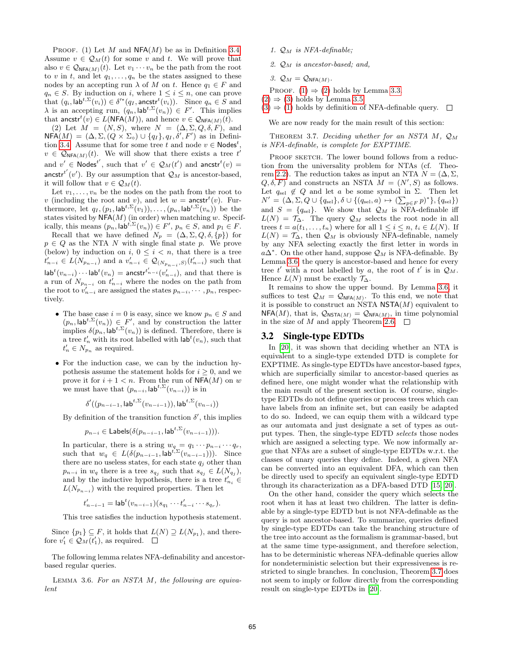PROOF. (1) Let M and  $NFA(M)$  be as in Definition 3.4. Assume  $v \in \mathcal{Q}_M(t)$  for some v and t. We will prove that also  $v \in \mathcal{Q}_{NFA(M)}(t)$ . Let  $v_1 \cdots v_n$  be the path from the root to v in t, and let  $q_1, \ldots, q_n$  be the states assigned to these nodes by an accepting run  $\lambda$  of M on t. Hence  $q_1 \in F$  and  $q_n \in S$ . By induction on i, where  $1 \leq i \leq n$ , one can prove that  $(q_i, \mathsf{lab}^{t, \Sigma}(v_i)) \in \delta'^*(q_I, \mathsf{ancstr}^t(v_i)).$  Since  $q_n \in \overline{S}$  and  $\lambda$  is an accepting run,  $(q_n, \mathsf{lab}^{t,\Sigma}(v_n)) \in F'$ . This implies that ancstr<sup>t</sup> $(v) \in L(\text{NFA}(M))$ , and hence  $v \in \mathcal{Q}_{\text{NFA}(M)}(t)$ .

(2) Let  $M = (N, S)$ , where  $N = (\Delta, \Sigma, Q, \delta, F)$ , and  $NFA(M) = (\Delta, \Sigma, (Q \times \Sigma_{\circ}) \cup \{q_I\}, q_I, \delta', F')$  as in Definition 3.4. Assume that for some tree t and node  $v \in \text{Nodes}^t$ ,  $v \in \mathcal{Q}_{NFA(M)}(t)$ . We will show that there exists a tree  $t'$ and  $v' \in \text{Nodes}^{t'}$ , such that  $v' \in \mathcal{Q}_M(t')$  and ancstr<sup>t</sup> $(v)$  = ancstr<sup>t'</sup>(*v'*). By our assumption that  $\mathcal{Q}_M$  is ancestor-based, it will follow that  $v \in \mathcal{Q}_M(t)$ .

Let  $v_1, \ldots, v_n$  be the nodes on the path from the root to v (including the root and v), and let  $w =$  ancstr<sup>t</sup> $(v)$ . Furthermore, let  $q_I$ ,  $(p_1, \mathsf{lab}^{t,\Sigma}(v_1)), \ldots, (p_n, \mathsf{lab}^{t,\Sigma}(v_n))$  be the states visited by  $NFA(M)$  (in order) when matching w. Specifically, this means  $(p_n, \mathsf{lab}^{t,\Sigma}(v_n)) \in F', p_n \in S$ , and  $p_1 \in F$ .

Recall that we have defined  $N_p = (\Delta, \Sigma, Q, \delta, \{p\})$  for  $p \in Q$  as the NTA N with single final state p. We prove (below) by induction on  $i, 0 \leq i < n$ , that there is a tree  $t'_{n-i} \in L(N_{p_{n-i}})$  and a  $v'_{n-i} \in \mathcal{Q}_{(N_{p_{n-i}},S)}(t'_{n-i})$  such that  $\mathsf{lab}^{t}(v_{n-i})\cdots \mathsf{lab}^{t}(v_{n}) = \mathsf{ancstr}^{t'_{n-i}}(v'_{n-i}),$  and that there is a run of  $N_{p_{n-i}}$  on  $t'_{n-i}$  where the nodes on the path from the root to  $v'_{n-i}$  are assigned the states  $p_{n-i}, \cdots, p_n$ , respectively.

- The base case  $i = 0$  is easy, since we know  $p_n \in S$  and  $(p_n, \text{lab}^{t,\Sigma}(v_n)) \in F'$ , and by construction the latter implies  $\delta(p_n, \textsf{lab}^{t, \Sigma}(v_n))$  is defined. Therefore, there is a tree  $t'_n$  with its root labelled with  $\mathsf{lab}^t(v_n)$ , such that  $t'_n \in N_{p_n}$  as required.
- For the induction case, we can by the induction hypothesis assume the statement holds for  $i \geq 0$ , and we prove it for  $i + 1 < n$ . From the run of NFA(M) on w we must have that  $(p_{n-i}, \mathsf{lab}^{t,\Sigma}(v_{n-i}))$  is in

$$
\delta'((p_{n-i-1}, \mathsf{lab}^{t,\Sigma}(v_{n-i-1})), \mathsf{lab}^{t,\Sigma}(v_{n-i}))
$$

By definition of the transition function  $\delta'$ , this implies

$$
p_{n-i} \in \mathsf{Lables}(\delta(p_{n-i-1}, \mathsf{lab}^{t,\Sigma}(v_{n-i-1}))).
$$

In particular, there is a string  $w_q = q_1 \cdots p_{n-i} \cdots q_r$ , such that  $w_q \in L(\delta(p_{n-i-1}, \mathsf{lab}^{t,\Sigma}(v_{n-i-1}))).$  Since there are no useless states, for each state  $q_j$  other than  $p_{n-i}$  in  $w_q$  there is a tree  $s_{q_j}$  such that  $s_{q_j} \in L(N_{q_j}),$ and by the inductive hypothesis, there is a tree  $t'_{n_i} \in$  $L(N_{p_{n-i}})$  with the required properties. Then let

$$
t'_{n-i-1} = \mathsf{lab}^t(v_{n-i-1})(s_{q_1} \cdots t'_{n-i} \cdots s_{q_r}).
$$

This tree satisfies the induction hypothesis statement.

Since  $\{p_1\} \subseteq F$ , it holds that  $L(N) \supseteq L(N_{p_1})$ , and therefore  $v'_1 \in \mathcal{Q}_M(t'_1)$ , as required.

The following lemma relates NFA-definability and ancestorbased regular queries.

LEMMA 3.6. For an NSTA  $M$ , the following are equivalent

- 1.  $\mathcal{Q}_M$  is NFA-definable;
- 2.  $\mathcal{Q}_M$  is ancestor-based; and,
- 3.  $Q_M = Q_{NFA(M)}$ .

PROOF.  $(1) \Rightarrow (2)$  holds by Lemma 3.3.

- $(2) \Rightarrow (3)$  holds by Lemma 3.5.
- $(3) \Rightarrow (1)$  holds by definition of NFA-definable query.  $\square$

We are now ready for the main result of this section:

THEOREM 3.7. Deciding whether for an NSTA  $M$ ,  $\mathcal{Q}_M$ is NFA-definable, is complete for EXPTIME.

PROOF SKETCH. The lower bound follows from a reduction from the universality problem for NTAs (cf. Theorem 2.2). The reduction takes as input an NTA  $N = (\Delta, \Sigma, \Sigma)$  $Q, \delta, F$  and constructs an NSTA  $M = (N', S)$  as follows. Let  $q_{\text{sel}} \notin Q$  and let a be some symbol in  $\Sigma$ . Then let  $N' = (\Delta, \Sigma, Q \cup \{q_{\text{sel}}\}, \delta \cup \{(q_{\text{sel}}, a) \mapsto (\sum_{p \in F} p)^*\}, \{q_{\text{sel}}\})$ and  $S = \{q_{\text{sel}}\}.$  We show that  $\mathcal{Q}_M$  is NFA-definable iff  $L(N) = T_{\Delta}$ . The query  $\mathcal{Q}_M$  selects the root node in all trees  $t = a(t_1, \ldots, t_n)$  where for all  $1 \leq i \leq n$ ,  $t_i \in L(N)$ . If  $L(N) = \mathcal{T}_{\Delta}$ , then  $\mathcal{Q}_M$  is obviously NFA-definable, namely by any NFA selecting exactly the first letter in words in  $a\Delta^*$ . On the other hand, suppose  $\mathcal{Q}_M$  is NFA-definable. By Lemma 3.6, the query is ancestor-based and hence for every tree t' with a root labelled by a, the root of t' is in  $\mathcal{Q}_M$ . Hence  $L(N)$  must be exactly  $\mathcal{T}_{\Delta}$ .

It remains to show the upper bound. By Lemma 3.6, it suffices to test  $\mathcal{Q}_M = \mathcal{Q}_{NFA(M)}$ . To this end, we note that it is possible to construct an NSTA  $\mathsf{NSTA}(M)$  equivalent to  $NFA(M)$ , that is,  $\mathcal{Q}_{NSTA(M)} = \mathcal{Q}_{NFA(M)}$ , in time polynomial in the size of M and apply Theorem 2.6.  $\Box$ 

#### 3.2 Single-type EDTDs

In [20], it was shown that deciding whether an NTA is equivalent to a single-type extended DTD is complete for EXPTIME. As single-type EDTDs have ancestor-based types, which are superficially similar to ancestor-based queries as defined here, one might wonder what the relationship with the main result of the present section is. Of course, singletype EDTDs do not define queries or process trees which can have labels from an infinite set, but can easily be adapted to do so. Indeed, we can equip them with a wildcard type as our automata and just designate a set of types as output types. Then, the single-type EDTD selects those nodes which are assigned a selecting type. We now informally argue that NFAs are a subset of single-type EDTDs w.r.t. the classes of unary queries they define. Indeed, a given NFA can be converted into an equivalent DFA, which can then be directly used to specify an equivalent single-type EDTD through its characterization as a DFA-based DTD [15, 20].

On the other hand, consider the query which selects the root when it has at least two children. The latter is definable by a single-type EDTD but is not NFA-definable as the query is not ancestor-based. To summarize, queries defined by single-type EDTDs can take the branching structure of the tree into account as the formalism is grammar-based, but at the same time type-assignment, and therefore selection, has to be deterministic whereas NFA-definable queries allow for nondeterministic selection but their expressiveness is restricted to single branches. In conclusion, Theorem 3.7 does not seem to imply or follow directly from the corresponding result on single-type EDTDs in [20].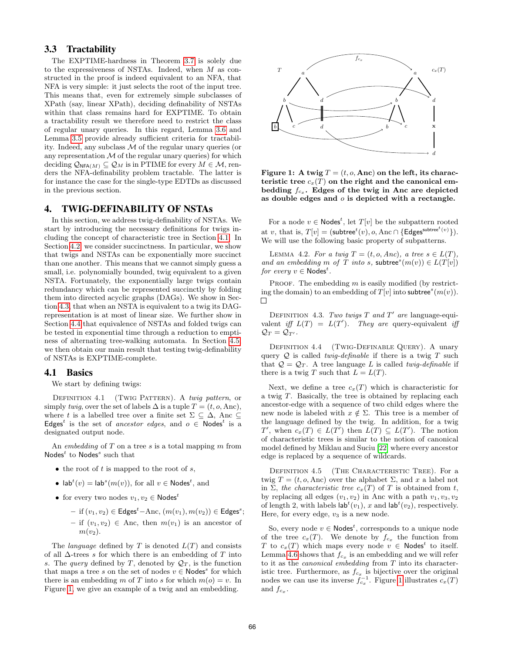## 3.3 Tractability

The EXPTIME-hardness in Theorem 3.7 is solely due to the expressiveness of NSTAs. Indeed, when M as constructed in the proof is indeed equivalent to an NFA, that NFA is very simple: it just selects the root of the input tree. This means that, even for extremely simple subclasses of XPath (say, linear XPath), deciding definability of NSTAs within that class remains hard for EXPTIME. To obtain a tractability result we therefore need to restrict the class of regular unary queries. In this regard, Lemma 3.6 and Lemma 3.5 provide already sufficient criteria for tractability. Indeed, any subclass M of the regular unary queries (or any representation  $M$  of the regular unary queries) for which deciding  $\mathcal{Q}_{NFA(M)} \subseteq \mathcal{Q}_M$  is in PTIME for every  $M \in \mathcal{M}$ , renders the NFA-definability problem tractable. The latter is for instance the case for the single-type EDTDs as discussed in the previous section.

## 4. TWIG-DEFINABILITY OF NSTAs

In this section, we address twig-definability of NSTAs. We start by introducing the necessary definitions for twigs including the concept of characteristic tree in Section 4.1. In Section 4.2, we consider succinctness. In particular, we show that twigs and NSTAs can be exponentially more succinct than one another. This means that we cannot simply guess a small, i.e. polynomially bounded, twig equivalent to a given NSTA. Fortunately, the exponentially large twigs contain redundancy which can be represented succinctly by folding them into directed acyclic graphs (DAGs). We show in Section 4.3, that when an NSTA is equivalent to a twig its DAGrepresentation is at most of linear size. We further show in Section 4.4 that equivalence of NSTAs and folded twigs can be tested in exponential time through a reduction to emptiness of alternating tree-walking automata. In Section 4.5, we then obtain our main result that testing twig-definability of NSTAs is EXPTIME-complete.

#### 4.1 Basics

We start by defining twigs:

DEFINITION 4.1 (TWIG PATTERN). A twig pattern, or simply twig, over the set of labels  $\Delta$  is a tuple  $T = (t, o, \text{Anc})$ , where t is a labelled tree over a finite set  $\Sigma \subseteq \Delta$ , Anc  $\subseteq$ Edges<sup>t</sup> is the set of *ancestor edges*, and  $o \in \text{Nodes}^t$  is a designated output node.

An embedding of  $T$  on a tree  $s$  is a total mapping  $m$  from  $\mathsf{Nodes}^t$  to  $\mathsf{Nodes}^s$  such that

- the root of  $t$  is mapped to the root of  $s$ ,
- $lab<sup>t</sup>(v) = lab<sup>s</sup>(m(v))$ , for all  $v \in \text{Nodes}^t$ , and
- for every two nodes  $v_1, v_2 \in \mathsf{Nodes}^t$ 
	- $-$  if  $(v_1, v_2) \in \text{Edges}^t \text{Anc}, (m(v_1), m(v_2)) \in \text{Edges}^s;$ – if  $(v_1, v_2)$  ∈ Anc, then  $m(v_1)$  is an ancestor of  $m(v_2)$ .

The *language* defined by T is denoted  $L(T)$  and consists of all  $\Delta$ -trees s for which there is an embedding of T into s. The *query* defined by T, denoted by  $\mathcal{Q}_T$ , is the function that maps a tree s on the set of nodes  $v \in \text{Nodes}^s$  for which there is an embedding m of T into s for which  $m(o) = v$ . In Figure 1, we give an example of a twig and an embedding.



Figure 1: A twig  $T = (t, o, \text{Anc})$  on the left, its characteristic tree  $c_x(T)$  on the right and the canonical embedding  $f_{c_x}$ . Edges of the twig in Anc are depicted as double edges and  $o$  is depicted with a rectangle.

For a node  $v \in \text{Nodes}^t$ , let  $T[v]$  be the subpattern rooted at v, that is,  $T[v] = (\textsf{subtree}^t(v), o, \text{Anc} \cap {\{\textsf{Edges}^{\textsf{subtree}^t(v)}\}}).$ We will use the following basic property of subpatterns.

LEMMA 4.2. For a twig  $T = (t, o, Anc)$ , a tree  $s \in L(T)$ , and an embedding m of T into s, subtree<sup>s</sup> $(m(v)) \in L(T[v])$ for every  $v \in \mathsf{Nodes}^t$ .

PROOF. The embedding  $m$  is easily modified (by restricting the domain) to an embedding of  $T[v]$  into subtree<sup>s</sup> $(m(v))$ .  $\Box$ 

DEFINITION 4.3. Two twigs  $T$  and  $T'$  are language-equivalent iff  $L(T) = L(T')$ . They are query-equivalent iff  $\mathcal{Q}_T = \mathcal{Q}_{T'}$ .

DEFINITION 4.4 (TWIG-DEFINABLE QUERY). A unary query  $Q$  is called *twig-definable* if there is a twig  $T$  such that  $Q = Q_T$ . A tree language L is called *twig-definable* if there is a twig T such that  $L = L(T)$ .

Next, we define a tree  $c_x(T)$  which is characteristic for a twig T. Basically, the tree is obtained by replacing each ancestor-edge with a sequence of two child edges where the new node is labeled with  $x \notin \Sigma$ . This tree is a member of the language defined by the twig. In addition, for a twig  $T'$ , when  $c_x(T) \in L(T')$  then  $L(T) \subseteq L(T')$ . The notion of characteristic trees is similar to the notion of canonical model defined by Miklau and Suciu [22] where every ancestor edge is replaced by a sequence of wildcards.

DEFINITION 4.5 (THE CHARACTERISTIC TREE). For a twig  $T = (t, o, \text{Anc})$  over the alphabet  $\Sigma$ , and x a label not in  $\Sigma$ , the characteristic tree  $c_x(T)$  of T is obtained from t, by replacing all edges  $(v_1, v_2)$  in Anc with a path  $v_1, v_3, v_2$ of length 2, with labels  $\mathsf{lab}^t(v_1)$ , x and  $\mathsf{lab}^t(v_2)$ , respectively. Here, for every edge,  $v_3$  is a new node.

So, every node  $v \in \text{Nodes}^t$ , corresponds to a unique node of the tree  $c_x(T)$ . We denote by  $f_{c_x}$  the function from T to  $c_x(T)$  which maps every node  $v \in \textsf{Nodes}^t$  to itself. Lemma 4.6 shows that  $f_{c_x}$  is an embedding and we will refer to it as the canonical embedding from T into its characteristic tree. Furthermore, as  $f_{c_x}$  is bijective over the original nodes we can use its inverse  $f_{c_x}^{-1}$ . Figure 1 illustrates  $c_x(T)$ and  $f_{c_x}$ .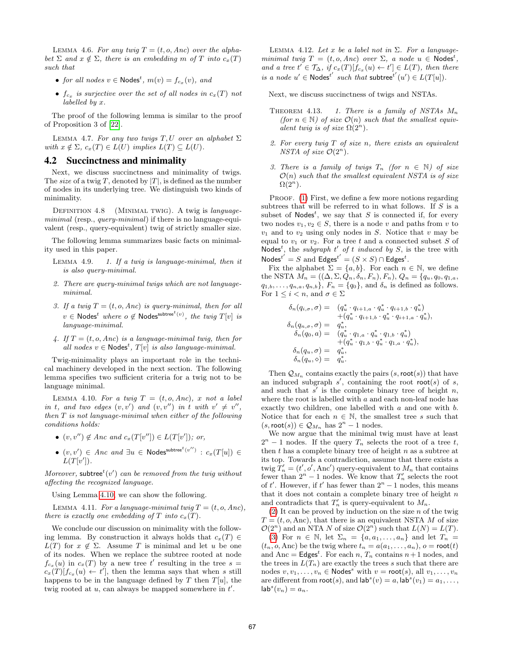LEMMA 4.6. For any twiq  $T = (t, o, Anc)$  over the alphabet  $\Sigma$  and  $x \notin \Sigma$ , there is an embedding m of T into  $c_x(T)$ such that

- for all nodes  $v \in \text{Nodes}^t$ ,  $m(v) = f_{c_x}(v)$ , and
- $f_{c_x}$  is surjective over the set of all nodes in  $c_x(T)$  not labelled by x.

The proof of the following lemma is similar to the proof of Proposition 3 of [22].

LEMMA 4.7. For any two twigs T, U over an alphabet  $\Sigma$ with  $x \notin \Sigma$ ,  $c_x(T) \in L(U)$  implies  $L(T) \subseteq L(U)$ .

#### 4.2 Succinctness and minimality

Next, we discuss succinctness and minimality of twigs. The *size* of a twig T, denoted by  $|T|$ , is defined as the number of nodes in its underlying tree. We distinguish two kinds of minimality.

DEFINITION 4.8 (MINIMAL TWIG). A twig is languageminimal (resp., *query-minimal*) if there is no language-equivalent (resp., query-equivalent) twig of strictly smaller size.

The following lemma summarizes basic facts on minimality used in this paper.

- LEMMA 4.9. 1. If a twig is language-minimal, then it is also query-minimal.
- 2. There are query-minimal twigs which are not languageminimal.
- 3. If a twig  $T = (t, o, Anc)$  is query-minimal, then for all  $v \in \mathsf{Nodes}^t$  where  $o \not\in \mathsf{Nodes}^{\mathsf{subtree}^t(v)},$  the twig  $T[v]$  is language-minimal.
- 4. If  $T = (t, o, Anc)$  is a language-minimal twig, then for all nodes  $v \in \text{Nodes}^t$ ,  $T[v]$  is also language-minimal.

Twig-minimality plays an important role in the technical machinery developed in the next section. The following lemma specifies two sufficient criteria for a twig not to be language minimal.

LEMMA 4.10. For a twig  $T = (t, o, Anc), x$  not a label in t, and two edges  $(v, v')$  and  $(v, v'')$  in t with  $v' \neq v''$ , then T is not language-minimal when either of the following conditions holds:

- $(v, v'') \notin \text{Anc} \text{ and } c_x(T[v'']) \in L(T[v']); \text{ or,}$
- $\bullet$   $(v, v') \in \textit{Anc} \textit{ and } \exists u \in \textsf{Nodes}^{\textsf{subtree}^t(v'')} : c_x(T[u]) \in$  $L(T[v'])$ .

Moreover, subtree<sup>t</sup>(v') can be removed from the twig without affecting the recognized language.

Using Lemma 4.10, we can show the following.

LEMMA 4.11. For a language-minimal twiq  $T = (t, o, Anc)$ , there is exactly one embedding of T into  $c_x(T)$ .

We conclude our discussion on minimality with the following lemma. By construction it always holds that  $c_x(T) \in$  $L(T)$  for  $x \notin \Sigma$ . Assume T is minimal and let u be one of its nodes. When we replace the subtree rooted at node  $f_{c_x}(u)$  in  $c_x(T)$  by a new tree t' resulting in the tree  $s =$  $c_x(T)[f_{c_x}(u) \leftarrow t']$ , then the lemma says that when s still happens to be in the language defined by  $T$  then  $T[u]$ , the twig rooted at  $u$ , can always be mapped somewhere in  $t'$ .

LEMMA 4.12. Let x be a label not in  $\Sigma$ . For a languageminimal twig  $T = (t, o, Anc)$  over  $\Sigma$ , a node  $u \in \text{Nodes}^t$ , and a tree  $t' \in \mathcal{T}_{\Delta}$ , if  $c_x(T)[f_{c_x}(u) \leftarrow t'] \in L(T)$ , then there is a node  $u' \in \text{Nodes}^{t'}$  such that subtree<sup>t'</sup> $(u') \in L(T[u])$ .

Next, we discuss succinctness of twigs and NSTAs.

- THEOREM 4.13. 1. There is a family of NSTAs  $M_n$ (for  $n \in \mathbb{N}$ ) of size  $\mathcal{O}(n)$  such that the smallest equivalent twig is of size  $\Omega(2^n)$ .
- 2. For every twig  $T$  of size n, there exists an equivalent NSTA of size  $\mathcal{O}(2^n)$ .
- 3. There is a family of twigs  $T_n$  (for  $n \in \mathbb{N}$ ) of size  $\mathcal{O}(n)$  such that the smallest equivalent NSTA is of size  $\Omega(2^n)$  .

PROOF. (1) First, we define a few more notions regarding subtrees that will be referred to in what follows. If  $S$  is a subset of Nodes<sup>t</sup>, we say that S is connected if, for every two nodes  $v_1, v_2 \in S$ , there is a node v and paths from v to  $v_1$  and to  $v_2$  using only nodes in S. Notice that v may be equal to  $v_1$  or  $v_2$ . For a tree t and a connected subset S of Nodes<sup>t</sup>, the *subgraph*  $t'$  of  $t$  induced by  $S$ , is the tree with Nodes<sup>t'</sup> = S and Edges<sup>t'</sup> = (S × S) ∩ Edges<sup>t</sup>.

Fix the alphabet  $\Sigma = \{a, b\}$ . For each  $n \in \mathbb{N}$ , we define the NSTA  $M_n = ((\Delta, \Sigma, Q_n, \delta_n, F_n), F_n), Q_n = (q_u, q_0, q_{1,a},$  $q_{1,b},\ldots,q_{n,a},q_{n,b}\},\, F_n=\{q_0\},\,$  and  $\delta_n$  is defined as follows. For  $1 \leq i < n$ , and  $\sigma \in \Sigma$ 

$$
\begin{array}{lll} \delta_n(q_{i,\sigma},\sigma) = & (q_u^* \cdot q_{i+1,\sigma} \cdot q_u^* \cdot q_{i+1,b} \cdot q_u^*) \\ & \quad + (q_u^* \cdot q_{i+1,b} \cdot q_u^* \cdot q_{i+1,a} \cdot q_u^*) , \\ \delta_n(q_{0,\sigma}) = & q_u^* , & \\ \delta_n(q_{0},a) = & (q_u^* \cdot q_{1,a} \cdot q_u^* \cdot q_{1,b} \cdot q_u^*) \\ & \quad + (q_u^* \cdot q_{1,b} \cdot q_u^* \cdot q_{1,a} \cdot q_u^* ) , \\ \delta_n(q_u,\sigma) = & q_u^* , & \\ \delta_n(q_u,\diamond) = & q_u^* . \end{array}
$$

Then  $\mathcal{Q}_{M_n}$  contains exactly the pairs  $(s, \text{root}(s))$  that have an induced subgraph  $s'$ , containing the root root(s) of s, and such that  $s'$  is the complete binary tree of height  $n$ , where the root is labelled with  $a$  and each non-leaf node has exactly two children, one labelled with a and one with b. Notice that for each  $n \in \mathbb{N}$ , the smallest tree s such that  $(s, \text{root}(s)) \in \mathcal{Q}_{M_n}$  has  $2^n - 1$  nodes.

We now argue that the minimal twig must have at least  $2^{n} - 1$  nodes. If the query  $T_n$  selects the root of a tree t, then  $t$  has a complete binary tree of height  $n$  as a subtree at its top. Towards a contradiction, assume that there exists a twig  $T'_n = (t', o', \text{Anc}')$  query-equivalent to  $M_n$  that contains fewer than  $2^n - 1$  nodes. We know that  $T'_n$  selects the root of t'. However, if t' has fewer than  $2<sup>n</sup> - 1$  nodes, this means that it does not contain a complete binary tree of height  $n$ and contradicts that  $T'_n$  is query-equivalent to  $M_n$ .

 $(2)$  It can be proved by induction on the size *n* of the twig  $T = (t, o, \text{Anc})$ , that there is an equivalent NSTA M of size  $\mathcal{O}(2^n)$  and an NTA N of size  $\mathcal{O}(2^n)$  such that  $L(N) = L(T)$ . (3) For  $n \in \mathbb{N}$ , let  $\Sigma_n = \{a, a_1, \ldots, a_n\}$  and let  $T_n =$  $(t_n, o, \text{Anc})$  be the twig where  $t_n = a(a_1, \ldots, a_n)$ ,  $o = \text{root}(t)$ and Anc =  $\mathsf{Edges}^t$ . For each n,  $T_n$  contains  $n+1$  nodes, and the trees in  $L(T_n)$  are exactly the trees s such that there are nodes  $v, v_1, \ldots, v_n \in \text{Nodes}^s$  with  $v = \text{root}(s)$ , all  $v_1, \ldots, v_n$ are different from  $\text{root}(s)$ , and  $\text{lab}^s(v) = a$ ,  $\text{lab}^s(v_1) = a_1, \ldots$ ,  $\mathsf{lab}^s(v_n) = a_n.$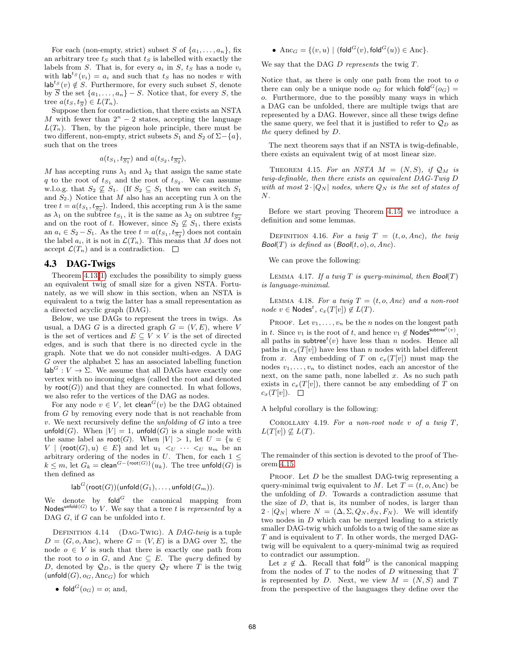For each (non-empty, strict) subset S of  $\{a_1, \ldots, a_n\}$ , fix an arbitrary tree  $t<sub>S</sub>$  such that  $t<sub>S</sub>$  is labelled with exactly the labels from S. That is, for every  $a_i$  in S,  $t_s$  has a node  $v_i$ with  $\mathsf{lab}^{ts}(v_i) = a_i$  and such that  $t_s$  has no nodes v with  $\mathsf{lab}^{ts}(v) \notin S$ . Furthermore, for every such subset S, denote by  $\overline{S}$  the set  $\{a_1, \ldots, a_n\}$  – S. Notice that, for every S, the tree  $a(t_S, t_{\overline{S}}) \in L(T_n)$ .

Suppose then for contradiction, that there exists an NSTA M with fewer than  $2^n - 2$  states, accepting the language  $L(T_n)$ . Then, by the pigeon hole principle, there must be two different, non-empty, strict subsets  $S_1$  and  $S_2$  of  $\Sigma-\lbrace a \rbrace$ , such that on the trees

$$
a(t_{S_1}, t_{\overline{S_1}})
$$
 and  $a(t_{S_2}, t_{\overline{S_2}})$ ,

M has accepting runs  $\lambda_1$  and  $\lambda_2$  that assign the same state q to the root of  $t_{S_1}$  and the root of  $t_{S_2}$ . We can assume w.l.o.g. that  $S_2 \not\subseteq S_1$ . (If  $S_2 \subseteq S_1$  then we can switch  $S_1$ and  $S_2$ .) Notice that M also has an accepting run  $\lambda$  on the tree  $t = a(t_{S_1}, t_{\overline{S_2}})$ . Indeed, this accepting run  $\lambda$  is the same as  $\lambda_1$  on the subtree  $t_{S_1}$ , it is the same as  $\lambda_2$  on subtree  $t_{\overline{S_2}}$ and on the root of t. However, since  $S_2 \not\subseteq S_1$ , there exists an  $a_i \in S_2 - S_1$ . As the tree  $t = a(t_{S_1}, t_{\overline{S_2}})$  does not contain the label  $a_i$ , it is not in  $\mathcal{L}(T_n)$ . This means that M does not accept  $\mathcal{L}(T_n)$  and is a contradiction.  $\Box$ 

#### 4.3 DAG-Twigs

Theorem 4.13(1) excludes the possibility to simply guess an equivalent twig of small size for a given NSTA. Fortunately, as we will show in this section, when an NSTA is equivalent to a twig the latter has a small representation as a directed acyclic graph (DAG).

Below, we use DAGs to represent the trees in twigs. As usual, a DAG G is a directed graph  $G = (V, E)$ , where V is the set of vertices and  $E \subseteq V \times V$  is the set of directed edges, and is such that there is no directed cycle in the graph. Note that we do not consider multi-edges. A DAG G over the alphabet  $\Sigma$  has an associated labelling function  $\textsf{lab}^G : V \to \Sigma$ . We assume that all DAGs have exactly one vertex with no incoming edges (called the root and denoted by  $\text{root}(G)$  and that they are connected. In what follows, we also refer to the vertices of the DAG as nodes.

For any node  $v \in V$ , let clean<sup> $G(v)$ </sup> be the DAG obtained from G by removing every node that is not reachable from  $v.$  We next recursively define the *unfolding* of  $G$  into a tree unfold(G). When  $|V| = 1$ , unfold(G) is a single node with the same label as  $\text{root}(G)$ . When  $|V| > 1$ , let  $U = \{u \in$ V | (root $(G), u) \in E$ } and let  $u_1 \lt_{U} \cdots \lt_{U} u_m$  be an arbitrary ordering of the nodes in U. Then, for each  $1 \leq$  $k \leq m$ , let  $G_k = \text{clean}^{G - \{\text{root}(G)\}}(u_k)$ . The tree unfold  $(G)$  is then defined as

$$
\mathsf{lab}^G(\mathsf{root}(G))(\mathsf{unfold}(G_1),\ldots,\mathsf{unfold}(G_m)).
$$

We denote by  $\text{fold}^G$  the canonical mapping from Nodes<sup>unfold(G)</sup> to V. We say that a tree t is represented by a DAG  $G$ , if  $G$  can be unfolded into  $t$ .

DEFINITION 4.14 (DAG-TWIG). A DAG-twig is a tuple  $D = (G, o, \text{Anc})$ , where  $G = (V, E)$  is a DAG over  $\Sigma$ , the node  $o \in V$  is such that there is exactly one path from the root to o in G, and Anc  $\subseteq$  E. The *query* defined by D, denoted by  $\mathcal{Q}_D$ , is the query  $\mathcal{Q}_T$  where T is the twig  $($ unfold $(G), o_G,$  Anc $_G$ ) for which

• 
$$
fold^G(o_G) = o
$$
; and,

• Anc<sub>G</sub> = { $(v, u)$  | (fold<sup>G</sup> $(v)$ , fold<sup>G</sup> $(u)$ )  $\in$  Anc}.

We say that the DAG  $D$  represents the twig  $T$ .

Notice that, as there is only one path from the root to  $o$ there can only be a unique node  $o_G$  for which fold<sup> $G$ </sup> $(o_G)$  = o. Furthermore, due to the possibly many ways in which a DAG can be unfolded, there are multiple twigs that are represented by a DAG. However, since all these twigs define the same query, we feel that it is justified to refer to  $\mathcal{Q}_D$  as the query defined by D.

The next theorem says that if an NSTA is twig-definable, there exists an equivalent twig of at most linear size.

THEOREM 4.15. For an NSTA  $M = (N, S)$ , if  $\mathcal{Q}_M$  is twig-definable, then there exists an equivalent DAG-Twig D with at most  $2 \cdot |Q_N|$  nodes, where  $Q_N$  is the set of states of  $N$ .

Before we start proving Theorem 4.15, we introduce a definition and some lemmas.

DEFINITION 4.16. For a twig  $T = (t, o, Anc)$ , the twig  $Bool(T)$  is defined as  $(Bool(t, o), o, Anc)$ .

We can prove the following:

LEMMA 4.17. If a twig T is query-minimal, then  $Bool(T)$ is language-minimal.

LEMMA 4.18. For a twig  $T = (t, o, Anc)$  and a non-root  $node \ v \in \text{Nodes}^t, \ c_x(T[v]) \notin L(T).$ 

PROOF. Let  $v_1, \ldots, v_n$  be the *n* nodes on the longest path in t. Since  $v_1$  is the root of t, and hence  $v_1 \notin \textsf{Nodes}^{\textsf{subtree}^t(v)}$ , all paths in subtree<sup>t</sup> $(v)$  have less than n nodes. Hence all paths in  $c_x(T[v])$  have less than n nodes with label different from x. Any embedding of T on  $c_x(T[v])$  must map the nodes  $v_1, \ldots, v_n$  to distinct nodes, each an ancestor of the next, on the same path, none labelled  $x$ . As no such path exists in  $c_x(T[v])$ , there cannot be any embedding of T on  $c_x(T[v])$ .  $\Box$ 

A helpful corollary is the following:

COROLLARY 4.19. For a non-root node v of a twig  $T$ ,  $L(T[v]) \nsubseteq L(T)$ .

The remainder of this section is devoted to the proof of Theorem 4.15.

PROOF. Let  $D$  be the smallest DAG-twig representing a query-minimal twig equivalent to M. Let  $T = (t, o, \text{Anc})$  be the unfolding of D. Towards a contradiction assume that the size of D, that is, its number of nodes, is larger than  $2 \cdot |Q_N|$  where  $N = (\Delta, \Sigma, Q_N, \delta_N, F_N)$ . We will identify two nodes in D which can be merged leading to a strictly smaller DAG-twig which unfolds to a twig of the same size as  $T$  and is equivalent to  $T$ . In other words, the merged DAGtwig will be equivalent to a query-minimal twig as required to contradict our assumption.

Let  $x \notin \Delta$ . Recall that fold<sup>D</sup> is the canonical mapping from the nodes of  $T$  to the nodes of  $D$  witnessing that  $T$ is represented by D. Next, we view  $M = (N, S)$  and T from the perspective of the languages they define over the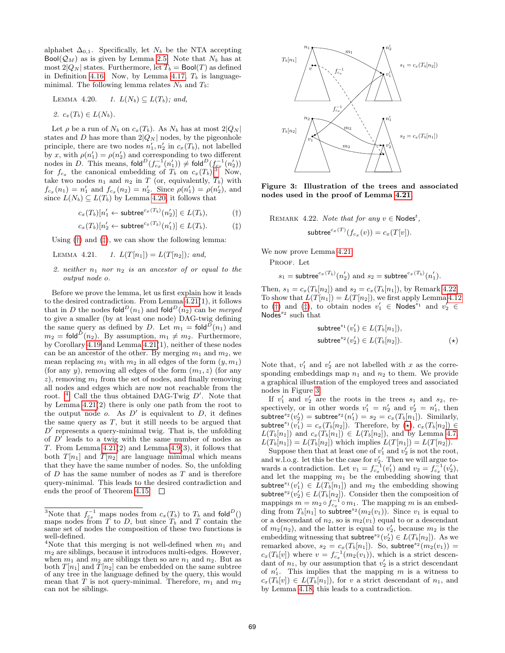alphabet  $\Delta_{0,1}$ . Specifically, let  $N_b$  be the NTA accepting  $Bool(Q_M)$  as is given by Lemma 2.5. Note that  $N_b$  has at most  $2|Q_N|$  states. Furthermore, let  $T_b = \text{Bool}(T)$  as defined in Definition 4.16. Now, by Lemma 4.17,  $T<sub>b</sub>$  is languageminimal. The following lemma relates  $N_b$  and  $T_b$ :

LEMMA 4.20. 1. 
$$
L(N_b) \subseteq L(T_b)
$$
; and,

$$
2. \ c_x(T_b) \in L(N_b).
$$

Let  $\rho$  be a run of  $N_b$  on  $c_x(T_b)$ . As  $N_b$  has at most  $2|Q_N|$ states and D has more than  $2|Q_N|$  nodes, by the pigeonhole principle, there are two nodes  $n'_1, n'_2$  in  $c_x(T_b)$ , not labelled by x, with  $\rho(n'_1) = \rho(n'_2)$  and corresponding to two different nodes in D. This means,  $\text{fold}^D(f_{cx}^{-1}(n'_1)) \neq \text{fold}^D(f_{cx}^{-1}(n'_2))$ for  $f_{c_x}$  the canonical embedding of  $T_b$  on  $c_x(T_b)$ .<sup>3</sup> Now, take two nodes  $n_1$  and  $n_2$  in T (or, equivalently,  $T_b$ ) with  $f_{c_x}(n_1) = n'_1$  and  $f_{c_x}(n_2) = n'_2$ . Since  $\rho(n'_1) = \rho(n'_2)$ , and since  $L(N_b) \subseteq L(T_b)$  by Lemma 4.20, it follows that

$$
c_x(T_b)[n'_1 \leftarrow \mathsf{subtree}^{c_x(T_b)}(n'_2)] \in L(T_b), \tag{\dagger}
$$

$$
c_x(T_b)[n'_2 \leftarrow \text{subtree}^{c_x(T_b)}(n'_1)] \in L(T_b). \tag{\ddagger}
$$

Using  $(\dagger)$  and  $(\dagger)$ , we can show the following lemma:

LEMMA 4.21. 1.  $L(T[n_1]) = L(T[n_2])$ ; and,

#### 2. neither  $n_1$  nor  $n_2$  is an ancestor of or equal to the output node o.

Before we prove the lemma, let us first explain how it leads to the desired contradiction. From Lemma 4.21(1), it follows that in D the nodes fold<sup>D</sup>(n<sub>1</sub>) and fold<sup>D</sup>(n<sub>2</sub>) can be merged to give a smaller (by at least one node) DAG-twig defining the same query as defined by D. Let  $m_1 = \text{fold}^{\overline{D}}(n_1)$  and  $m_2 = \text{fold}^D(n_2)$ . By assumption,  $m_1 \neq m_2$ . Furthermore, by Corollary 4.19 and Lemma 4.21(1), neither of these nodes can be an ancestor of the other. By merging  $m_1$  and  $m_2$ , we mean replacing  $m_1$  with  $m_2$  in all edges of the form  $(y, m_1)$ (for any y), removing all edges of the form  $(m_1, z)$  (for any  $z$ ), removing  $m_1$  from the set of nodes, and finally removing all nodes and edges which are now not reachable from the root.  $4$  Call the thus obtained DAG-Twig  $D'$ . Note that by Lemma 4.21(2) there is only one path from the root to the output node  $o$ . As  $D'$  is equivalent to  $D$ , it defines the same query as  $T$ , but it still needs to be argued that  $D'$  represents a query-minimal twig. That is, the unfolding of  $D'$  leads to a twig with the same number of nodes as T. From Lemma  $4.21(2)$  and Lemma  $4.9(3)$ , it follows that both  $T[n_1]$  and  $T[n_2]$  are language minimal which means that they have the same number of nodes. So, the unfolding of  $D$  has the same number of nodes as  $T$  and is therefore query-minimal. This leads to the desired contradiction and ends the proof of Theorem 4.15.  $\Box$ 



Figure 3: Illustration of the trees and associated nodes used in the proof of Lemma 4.21.

REMARK 4.22. Note that for any  $v \in \text{Nodes}^t$ ,

$$
subtree^{c_x(T)}(f_{c_x}(v)) = c_x(T[v]).
$$

We now prove Lemma 4.21.

PROOF. Let

$$
s_1 = \mathsf{subtree}^{c_x(T_b)}(n_2') \text{ and } s_2 = \mathsf{subtree}^{c_x(T_b)}(n_1').
$$

Then,  $s_1 = c_x(T_b[n_2])$  and  $s_2 = c_x(T_b[n_1])$ , by Remark 4.22. To show that  $L(T[n_1]) = L(T[n_2])$ , we first apply Lemma 4.12 to (†) and (‡), to obtain nodes  $v'_1 \in \text{Nodes}^{s_1}$  and  $v'_2 \in$ Nodes $s<sup>2</sup>$  such that

$$
subtrees1(v'1) \in L(Tb[n1]),
$$
  
subtree<sup>s<sub>2</sub></sup>(v'<sub>2</sub>) \in L(T<sub>b</sub>[n<sub>2</sub>]).  $(\star)$ 

Note that,  $v'_1$  and  $v'_2$  are not labelled with x as the corresponding embeddings map  $n_1$  and  $n_2$  to them. We provide a graphical illustration of the employed trees and associated nodes in Figure 3.

If  $v'_1$  and  $v'_2$  are the roots in the trees  $s_1$  and  $s_2$ , respectively, or in other words  $v'_1 = n'_2$  and  $v'_2 = n'_1$ , then subtree<sup>s2</sup> $(v_2')$  = subtree<sup>s2</sup> $(n'_1) = s_2 = c_x(T_b[n_1])$ . Similarly, subtree $s^1(v'_1) = c_x(T_b[n_2])$ . Therefore, by  $(\star), c_x(T_b[n_2]) \in$  $L(T_b[n_1])$  and  $c_x(T_b[n_1]) \in L(T_b[n_2])$ , and by Lemma 4.7,  $L(T_b[n_1]) = L(T_b[n_2])$  which implies  $L(T[n_1]) = L(T[n_2]).$ 

Suppose then that at least one of  $v'_1$  and  $v'_2$  is not the root, and w.l.o.g. let this be the case for  $v'_2$ . Then we will argue towards a contradiction. Let  $v_1 = f_{c_x}^{-1}(v_1')$  and  $v_2 = f_{c_x}^{-1}(v_2'),$ and let the mapping  $m_1$  be the embedding showing that subtree<sup>s<sub>1</sub></sup> $(v'_1) \in L(T_b[n_1])$  and  $m_2$  the embedding showing subtree<sup>s2</sup> $(v_2') \in L(T_b[n_2])$ . Consider then the composition of mappings  $m = m_2 \circ f_{c_x}^{-1} \circ m_1$ . The mapping m is an embedding from  $T_b[n_1]$  to subtree<sup>s2</sup> ( $m_2(v_1)$ ). Since  $v_1$  is equal to or a descendant of  $n_2$ , so is  $m_2(v_1)$  equal to or a descendant of  $m_2(n_2)$ , and the latter is equal to  $v'_2$ , because  $m_2$  is the embedding witnessing that subtree<sup>s2</sup> $(v_2') \in L(T_b[n_2])$ . As we remarked above,  $s_2 = c_x(T_b[n_1])$ . So, subtree<sup>s2</sup> $(m_2(v_1))$  =  $c_x(T_b[v])$  where  $v = f_{c_x}^{-1}(m_2(v_1))$ , which is a strict descendant of  $n_1$ , by our assumption that  $v_2$  is a strict descendant of  $n'_1$ . This implies that the mapping m is a witness to  $c_x(T_b[v]) \in L(T_b[n_1]),$  for v a strict descendant of  $n_1$ , and by Lemma 4.18, this leads to a contradiction.

<sup>&</sup>lt;sup>3</sup>Note that  $f_{c_x}^{-1}$  maps nodes from  $c_x(T_b)$  to  $T_b$  and fold<sup>D</sup>() maps nodes from  $\overline{T}$  to  $D$ , but since  $T_b$  and  $T$  contain the same set of nodes the composition of these two functions is well-defined.

<sup>&</sup>lt;sup>4</sup>Note that this merging is not well-defined when  $m_1$  and  $m<sub>2</sub>$  are siblings, because it introduces multi-edges. However, when  $m_1$  and  $m_2$  are siblings then so are  $n_1$  and  $n_2$ . But as both  $T[n_1]$  and  $T[n_2]$  can be embedded on the same subtree of any tree in the language defined by the query, this would mean that T is not query-minimal. Therefore,  $m_1$  and  $m_2$ can not be siblings.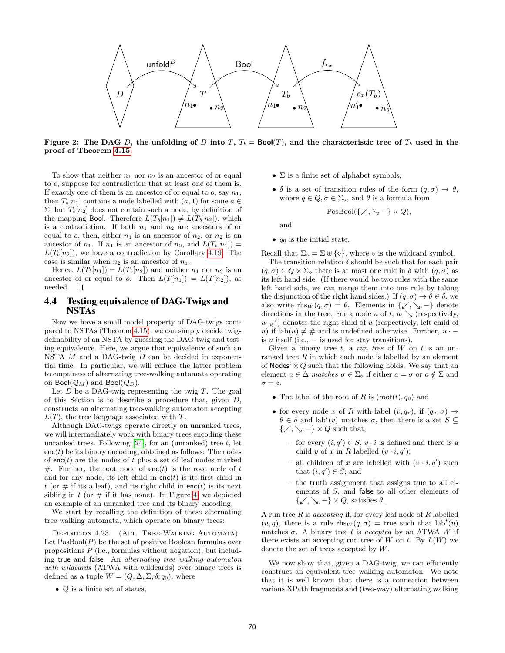

Figure 2: The DAG D, the unfolding of D into T,  $T_b = \text{Bool}(T)$ , and the characteristic tree of  $T_b$  used in the proof of Theorem 4.15.

To show that neither  $n_1$  nor  $n_2$  is an ancestor of or equal to o, suppose for contradiction that at least one of them is. If exactly one of them is an ancestor of or equal to  $o$ , say  $n_1$ , then  $T_b[n_1]$  contains a node labelled with  $(a, 1)$  for some  $a \in$  $\Sigma$ , but  $T_b[n_2]$  does not contain such a node, by definition of the mapping Bool. Therefore  $L(T_b[n_1]) \neq L(T_b[n_2])$ , which is a contradiction. If both  $n_1$  and  $n_2$  are ancestors of or equal to o, then, either  $n_1$  is an ancestor of  $n_2$ , or  $n_2$  is an ancestor of  $n_1$ . If  $n_1$  is an ancestor of  $n_2$ , and  $L(T_b[n_1]) =$  $L(T_b[n_2])$ , we have a contradiction by Corollary 4.19. The case is similar when  $n_2$  is an ancestor of  $n_1$ .

Hence,  $L(T_b[n_1]) = L(T_b[n_2])$  and neither  $n_1$  nor  $n_2$  is an ancestor of or equal to o. Then  $L(T[n_1]) = L(T[n_2])$ , as needed.  $\square$ 

## 4.4 Testing equivalence of DAG-Twigs and NSTAs

Now we have a small model property of DAG-twigs compared to NSTAs (Theorem 4.15), we can simply decide twigdefinability of an NSTA by guessing the DAG-twig and testing equivalence. Here, we argue that equivalence of such an NSTA  $M$  and a DAG-twig  $D$  can be decided in exponential time. In particular, we will reduce the latter problem to emptiness of alternating tree-walking automata operating on Bool $(\mathcal{Q}_M)$  and Bool $(\mathcal{Q}_D)$ .

Let  $D$  be a DAG-twig representing the twig  $T$ . The goal of this Section is to describe a procedure that, given  $D$ , constructs an alternating tree-walking automaton accepting  $L(T)$ , the tree language associated with T.

Although DAG-twigs operate directly on unranked trees, we will intermediately work with binary trees encoding these unranked trees. Following  $[24]$ , for an (unranked) tree t, let  $enc(t)$  be its binary encoding, obtained as follows: The nodes of  $enc(t)$  are the nodes of t plus a set of leaf nodes marked #. Further, the root node of enc(t) is the root node of t and for any node, its left child in  $enc(t)$  is its first child in t (or  $\#$  if its a leaf), and its right child in enc(t) is its next sibling in  $t$  (or  $\#$  if it has none). In Figure 4, we depicted an example of an unranked tree and its binary encoding.

We start by recalling the definition of these alternating tree walking automata, which operate on binary trees:

DEFINITION 4.23 (ALT. TREE-WALKING AUTOMATA). Let  $PosBool(P)$  be the set of positive Boolean formulas over propositions  $P$  (i.e., formulas without negation), but including true and false. An alternating tree walking automaton with wildcards (ATWA with wildcards) over binary trees is defined as a tuple  $W = (Q, \Delta, \Sigma, \delta, q_0)$ , where

•  $Q$  is a finite set of states,

- $\Sigma$  is a finite set of alphabet symbols,
- $\delta$  is a set of transition rules of the form  $(q, \sigma) \rightarrow \theta$ , where  $q \in Q$ ,  $\sigma \in \Sigma_{\diamond}$ , and  $\theta$  is a formula from

$$
\mathrm{PosBool}(\{\swarrow,\searrow-\}\times Q),
$$

and

•  $q_0$  is the initial state.

Recall that  $\Sigma_{\diamond} = \Sigma \uplus {\diamond}$ , where  $\diamond$  is the wildcard symbol.

The transition relation  $\delta$  should be such that for each pair  $(q, \sigma) \in Q \times \Sigma$  there is at most one rule in  $\delta$  with  $(q, \sigma)$  as its left hand side. (If there would be two rules with the same left hand side, we can merge them into one rule by taking the disjunction of the right hand sides.) If  $(q, \sigma) \to \theta \in \delta$ , we also write  $\text{rhs}_W(q, \sigma) = \theta$ . Elements in { $\swarrow, \searrow, -$ } denote directions in the tree. For a node u of t,  $u \searrow$  (respectively,  $u \times$ ) denotes the right child of u (respectively, left child of u) if lab(u)  $\neq \#$  and is undefined otherwise. Further,  $u \cdot$ is u itself (i.e.,  $-$  is used for stay transitions).

Given a binary tree t, a run tree of  $W$  on t is an unranked tree  $R$  in which each node is labelled by an element of Nodes<sup>t</sup>  $\times Q$  such that the following holds. We say that an element  $a \in \Delta$  matches  $\sigma \in \Sigma_{\infty}$  if either  $a = \sigma$  or  $a \notin \Sigma$  and  $\sigma = \diamond$ .

- The label of the root of R is  $(root(t), q_0)$  and
- for every node x of R with label  $(v, q_v)$ , if  $(q_v, \sigma) \rightarrow$  $\theta \in \delta$  and lab<sup>t</sup> $(v)$  matches  $\sigma$ , then there is a set  $S \subseteq$  $\{\swarrow, \searrow, -\} \times Q$  such that,
	- for every  $(i, q') \in S$ ,  $v \cdot i$  is defined and there is a child y of x in R labelled  $(v \cdot i, q')$ ;
	- all children of x are labelled with  $(v \cdot i, q')$  such that  $(i, q') \in S$ ; and
	- the truth assignment that assigns true to all elements of S, and false to all other elements of  $\{\swarrow, \searrow, -\} \times Q$ , satisfies  $\theta$ .

A run tree  $R$  is accepting if, for every leaf node of  $R$  labelled  $(u, q)$ , there is a rule rhs $w(q, \sigma)$  = true such that lab<sup>t</sup> $(u)$ matches  $\sigma$ . A binary tree t is accepted by an ATWA W if there exists an accepting run tree of W on t. By  $L(W)$  we denote the set of trees accepted by W.

We now show that, given a DAG-twig, we can efficiently construct an equivalent tree walking automaton. We note that it is well known that there is a connection between various XPath fragments and (two-way) alternating walking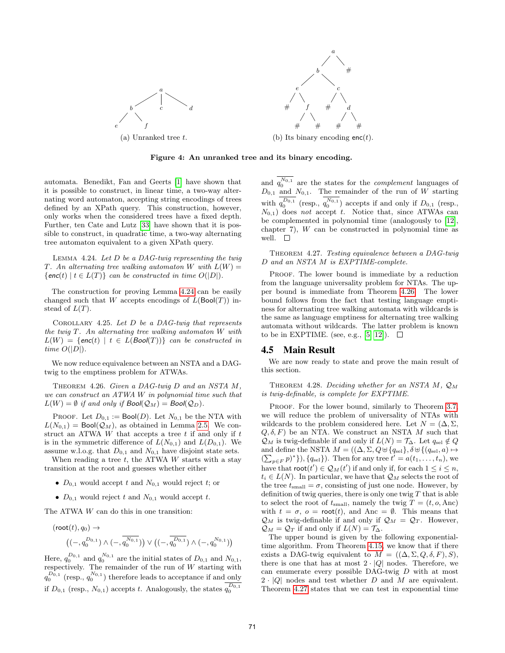

Figure 4: An unranked tree and its binary encoding.

automata. Benedikt, Fan and Geerts [1] have shown that it is possible to construct, in linear time, a two-way alternating word automaton, accepting string encodings of trees defined by an XPath query. This construction, however, only works when the considered trees have a fixed depth. Further, ten Cate and Lutz [33] have shown that it is possible to construct, in quadratic time, a two-way alternating tree automaton equivalent to a given XPath query.

LEMMA 4.24. Let  $D$  be a DAG-twig representing the twig T. An alternating tree walking automaton W with  $L(W) =$  $\{enc(t) | t \in L(T)\}$  can be constructed in time  $O(|D|)$ .

The construction for proving Lemma 4.24 can be easily changed such that W accepts encodings of  $L(Bool(T))$  instead of  $L(T)$ .

COROLLARY 4.25. Let  $D$  be a DAG-twig that represents the twig  $T$ . An alternating tree walking automaton  $W$  with  $L(W) = \{enc(t) | t \in L(Bool(T))\}$  can be constructed in time  $O(|D|)$ .

We now reduce equivalence between an NSTA and a DAGtwig to the emptiness problem for ATWAs.

THEOREM 4.26. Given a DAG-twig D and an NSTA M, we can construct an ATWA W in polynomial time such that  $L(W) = \emptyset$  if and only if  $Bool(Q_M) = Bool(Q_D)$ .

PROOF. Let  $D_{0,1} := \text{Bool}(D)$ . Let  $N_{0,1}$  be the NTA with  $L(N_{0,1}) = \text{Bool}(\mathcal{Q}_M)$ , as obtained in Lemma 2.5. We construct an ATWA  $W$  that accepts a tree  $t$  if and only if  $t$ is in the symmetric difference of  $L(N_{0,1})$  and  $L(D_{0,1})$ . We assume w.l.o.g. that  $D_{0,1}$  and  $N_{0,1}$  have disjoint state sets.

When reading a tree  $t$ , the ATWA  $W$  starts with a stay transition at the root and guesses whether either

- $D_{0,1}$  would accept t and  $N_{0,1}$  would reject t; or
- $D_{0,1}$  would reject t and  $N_{0,1}$  would accept t.

The ATWA W can do this in one transition:

$$
(\text{root}(t), q_0) \to ((-, q_0^{D_{0,1}}) \wedge (-, \overline{q_0^{N_{0,1}}}) ) \vee ((-, \overline{q_0^{D_{0,1}}}) \wedge (-, q_0^{N_{0,1}}))
$$

Here,  $q_0^{D_{0,1}}$  and  $q_0^{N_{0,1}}$  are the initial states of  $D_{0,1}$  and  $N_{0,1}$ , respectively. The remainder of the run of W starting with  $q_0^{D_{0,1}}$  (resp.,  $q_0^{N_{0,1}}$ ) therefore leads to acceptance if and only if  $D_{0,1}$  (resp.,  $N_{0,1}$ ) accepts t. Analogously, the states  $q_0^{D_{0,1}}$ 

and  $q_0^{N_{0,1}}$  are the states for the *complement* languages of  $D_{0,1}$  and  $N_{0,1}$ . The remainder of the run of W starting with  $q_0^{D_{0,1}}$  (resp.,  $q_0^{N_{0,1}}$ ) accepts if and only if  $D_{0,1}$  (resp.,  $N_{0,1}$ ) does not accept t. Notice that, since ATWAs can be complemented in polynomial time (analogously to [12], chapter 7), W can be constructed in polynomial time as well.  $\square$ 

THEOREM 4.27. Testing equivalence between a DAG-twig D and an NSTA M is EXPTIME-complete.

PROOF. The lower bound is immediate by a reduction from the language universality problem for NTAs. The upper bound is immediate from Theorem 4.26. The lower bound follows from the fact that testing language emptiness for alternating tree walking automata with wildcards is the same as language emptiness for alternating tree walking automata without wildcards. The latter problem is known to be in EXPTIME. (see, e.g., [5, 12]).  $\Box$ 

#### 4.5 Main Result

We are now ready to state and prove the main result of this section.

THEOREM 4.28. Deciding whether for an NSTA  $M$ ,  $\mathcal{Q}_M$ is twig-definable, is complete for EXPTIME.

PROOF. For the lower bound, similarly to Theorem 3.7, we will reduce the problem of universality of NTAs with wildcards to the problem considered here. Let  $N = (\Delta, \Sigma, \Sigma)$  $Q, \delta, F$ ) be an NTA. We construct an NSTA M such that  $\mathcal{Q}_M$  is twig-definable if and only if  $L(N) = \mathcal{T}_{\Delta}$ . Let  $q_{\text{sel}} \notin Q$ and define the NSTA  $M = ((\Delta, \Sigma, Q \cup \{q_{\rm sel}\}, \delta \cup \{(q_{\rm sel}, a) \mapsto \Delta \}$  $(\sum_{p\in F} p)^*$ ,  $\{q_{\text{sel}}\}$ . Then for any tree  $t' = a(t_1, \ldots, t_n)$ , we have that  $\text{root}(t') \in \mathcal{Q}_M(t')$  if and only if, for each  $1 \leq i \leq n$ ,  $t_i \in L(N)$ . In particular, we have that  $\mathcal{Q}_M$  selects the root of the tree  $t_{\text{small}} = \sigma$ , consisting of just one node. However, by definition of twig queries, there is only one twig  $T$  that is able to select the root of  $t_{\text{small}}$ , namely the twig  $T = (t, o, \text{Anc})$ with  $t = \sigma$ ,  $o = \text{root}(t)$ , and Anc =  $\emptyset$ . This means that  $\mathcal{Q}_M$  is twig-definable if and only if  $\mathcal{Q}_M = \mathcal{Q}_T$ . However,  $\mathcal{Q}_M = \mathcal{Q}_T$  if and only if  $L(N) = \mathcal{T}_{\Delta}$ .

The upper bound is given by the following exponentialtime algorithm. From Theorem 4.15, we know that if there exists a DAG-twig equivalent to  $M = ((\Delta, \Sigma, Q, \delta, F), S),$ there is one that has at most  $2 \cdot |Q|$  nodes. Therefore, we can enumerate every possible DAG-twig D with at most  $2 \cdot |Q|$  nodes and test whether D and M are equivalent. Theorem 4.27 states that we can test in exponential time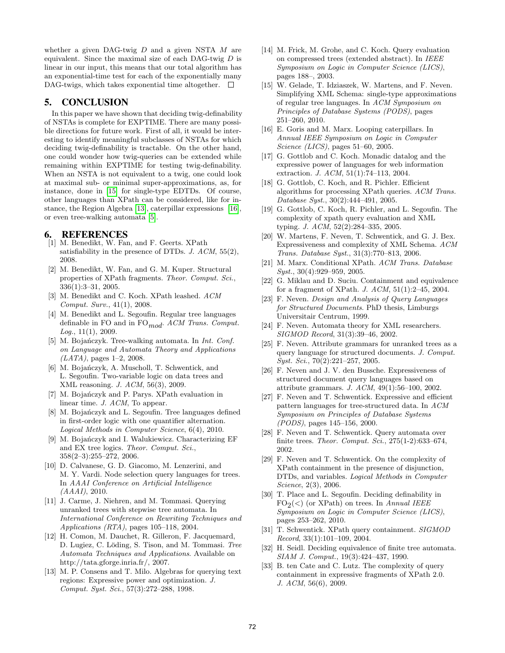whether a given DAG-twig  $D$  and a given NSTA  $M$  are equivalent. Since the maximal size of each DAG-twig  $D$  is linear in our input, this means that our total algorithm has an exponential-time test for each of the exponentially many DAG-twigs, which takes exponential time altogether.  $\Box$ 

## 5. CONCLUSION

In this paper we have shown that deciding twig-definability of NSTAs is complete for EXPTIME. There are many possible directions for future work. First of all, it would be interesting to identify meaningful subclasses of NSTAs for which deciding twig-definability is tractable. On the other hand, one could wonder how twig-queries can be extended while remaining within EXPTIME for testing twig-definability. When an NSTA is not equivalent to a twig, one could look at maximal sub- or minimal super-approximations, as, for instance, done in [15] for single-type EDTDs. Of course, other languages than XPath can be considered, like for instance, the Region Algebra [13], caterpillar expressions [16], or even tree-walking automata [5].

#### 6. REFERENCES

- [1] M. Benedikt, W. Fan, and F. Geerts. XPath satisfiability in the presence of DTDs.  $J.$  ACM, 55(2), 2008.
- [2] M. Benedikt, W. Fan, and G. M. Kuper. Structural properties of XPath fragments. Theor. Comput. Sci., 336(1):3–31, 2005.
- [3] M. Benedikt and C. Koch. XPath leashed. ACM Comput. Surv., 41(1), 2008.
- [4] M. Benedikt and L. Segoufin. Regular tree languages definable in FO and in FO $_{mod}$ . ACM Trans. Comput.  $Log., 11(1), 2009.$
- [5] M. Bojańczyk. Tree-walking automata. In *Int. Conf.* on Language and Automata Theory and Applications  $(LATA)$ , pages 1–2, 2008.
- [6] M. Bojańczyk, A. Muscholl, T. Schwentick, and L. Segoufin. Two-variable logic on data trees and XML reasoning. J. ACM, 56(3), 2009.
- [7] M. Bojańczyk and P. Parys. XPath evaluation in linear time. J. ACM, To appear.
- [8] M. Bojańczyk and L. Segoufin. Tree languages defined in first-order logic with one quantifier alternation. Logical Methods in Computer Science, 6(4), 2010.
- [9] M. Bojańczyk and I. Walukiewicz. Characterizing EF and EX tree logics. Theor. Comput. Sci., 358(2–3):255–272, 2006.
- [10] D. Calvanese, G. D. Giacomo, M. Lenzerini, and M. Y. Vardi. Node selection query languages for trees. In AAAI Conference on Artificial Intelligence  $(AAAI), 2010.$
- [11] J. Carme, J. Niehren, and M. Tommasi. Querying unranked trees with stepwise tree automata. In International Conference on Rewriting Techniques and Applications (RTA), pages 105–118, 2004.
- [12] H. Comon, M. Dauchet, R. Gilleron, F. Jacquemard, D. Lugiez, C. Löding, S. Tison, and M. Tommasi. Tree Automata Techniques and Applications. Available on http://tata.gforge.inria.fr/, 2007.
- [13] M. P. Consens and T. Milo. Algebras for querying text regions: Expressive power and optimization. J. Comput. Syst. Sci., 57(3):272–288, 1998.
- [14] M. Frick, M. Grohe, and C. Koch. Query evaluation on compressed trees (extended abstract). In IEEE Symposium on Logic in Computer Science (LICS), pages 188–, 2003.
- [15] W. Gelade, T. Idziaszek, W. Martens, and F. Neven. Simplifying XML Schema: single-type approximations of regular tree languages. In ACM Symposium on Principles of Database Systems (PODS), pages 251–260, 2010.
- [16] E. Goris and M. Marx. Looping caterpillars. In Annual IEEE Symposium on Logic in Computer Science (LICS), pages 51–60, 2005.
- [17] G. Gottlob and C. Koch. Monadic datalog and the expressive power of languages for web information extraction. J. ACM, 51(1):74–113, 2004.
- [18] G. Gottlob, C. Koch, and R. Pichler. Efficient algorithms for processing XPath queries. ACM Trans. Database Syst., 30(2):444–491, 2005.
- [19] G. Gottlob, C. Koch, R. Pichler, and L. Segoufin. The complexity of xpath query evaluation and XML typing. J. ACM, 52(2):284–335, 2005.
- [20] W. Martens, F. Neven, T. Schwentick, and G. J. Bex. Expressiveness and complexity of XML Schema. ACM Trans. Database Syst., 31(3):770–813, 2006.
- [21] M. Marx. Conditional XPath. ACM Trans. Database Syst., 30(4):929-959, 2005.
- [22] G. Miklau and D. Suciu. Containment and equivalence for a fragment of XPath. J. ACM, 51(1):2–45, 2004.
- [23] F. Neven. Design and Analysis of Query Languages for Structured Documents. PhD thesis, Limburgs Universitair Centrum, 1999.
- [24] F. Neven. Automata theory for XML researchers. SIGMOD Record, 31(3):39–46, 2002.
- [25] F. Neven. Attribute grammars for unranked trees as a query language for structured documents. J. Comput. Syst. Sci., 70(2):221-257, 2005.
- [26] F. Neven and J. V. den Bussche. Expressiveness of structured document query languages based on attribute grammars. J. ACM, 49(1):56–100, 2002.
- [27] F. Neven and T. Schwentick. Expressive and efficient pattern languages for tree-structured data. In ACM Symposium on Principles of Database Systems (PODS), pages 145–156, 2000.
- [28] F. Neven and T. Schwentick. Query automata over finite trees. Theor. Comput. Sci., 275(1-2):633–674, 2002.
- [29] F. Neven and T. Schwentick. On the complexity of XPath containment in the presence of disjunction, DTDs, and variables. Logical Methods in Computer Science, 2(3), 2006.
- [30] T. Place and L. Segoufin. Deciding definability in  $FO<sub>2</sub>(<)$  (or XPath) on trees. In Annual IEEE Symposium on Logic in Computer Science (LICS), pages 253–262, 2010.
- [31] T. Schwentick. XPath query containment. SIGMOD  $Record, 33(1):101-109, 2004.$
- [32] H. Seidl. Deciding equivalence of finite tree automata. SIAM J. Comput., 19(3):424–437, 1990.
- [33] B. ten Cate and C. Lutz. The complexity of query containment in expressive fragments of XPath 2.0. J. ACM, 56(6), 2009.